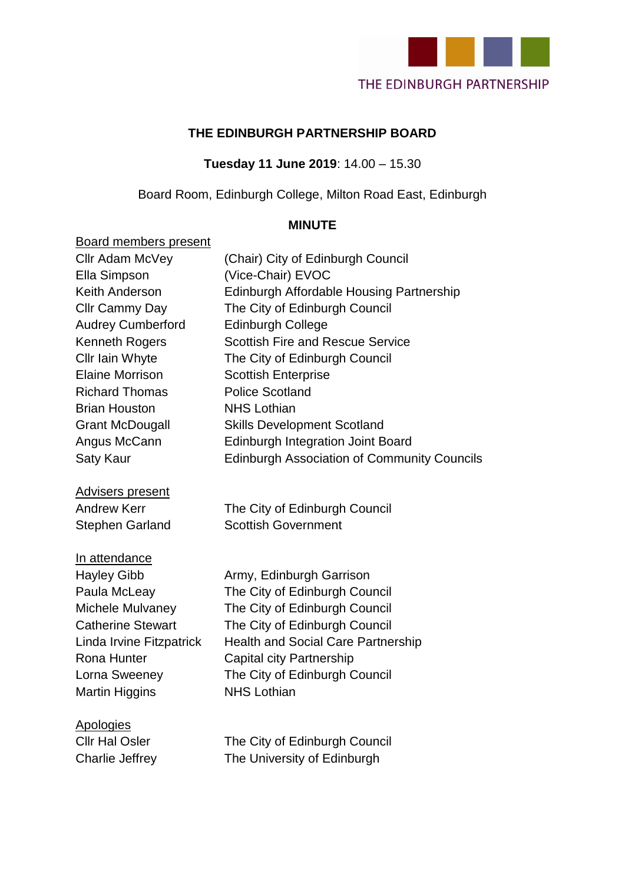

## **THE EDINBURGH PARTNERSHIP BOARD**

**Tuesday 11 June 2019**: 14.00 – 15.30

Board Room, Edinburgh College, Milton Road East, Edinburgh

### **MINUTE**

| <b>Board members present</b> |                                                    |
|------------------------------|----------------------------------------------------|
| Cllr Adam McVey              | (Chair) City of Edinburgh Council                  |
| Ella Simpson                 | (Vice-Chair) EVOC                                  |
| Keith Anderson               | Edinburgh Affordable Housing Partnership           |
| Cllr Cammy Day               | The City of Edinburgh Council                      |
| <b>Audrey Cumberford</b>     | <b>Edinburgh College</b>                           |
| <b>Kenneth Rogers</b>        | <b>Scottish Fire and Rescue Service</b>            |
| Cllr Iain Whyte              | The City of Edinburgh Council                      |
| <b>Elaine Morrison</b>       | <b>Scottish Enterprise</b>                         |
| <b>Richard Thomas</b>        | <b>Police Scotland</b>                             |
| <b>Brian Houston</b>         | <b>NHS Lothian</b>                                 |
| <b>Grant McDougall</b>       | <b>Skills Development Scotland</b>                 |
| Angus McCann                 | <b>Edinburgh Integration Joint Board</b>           |
| <b>Saty Kaur</b>             | <b>Edinburgh Association of Community Councils</b> |
| <b>Advisers present</b>      |                                                    |
| <b>Andrew Kerr</b>           | The City of Edinburgh Council                      |
| <b>Stephen Garland</b>       | <b>Scottish Government</b>                         |
| In attendance                |                                                    |
| <b>Hayley Gibb</b>           | Army, Edinburgh Garrison                           |
| Paula McLeay                 | The City of Edinburgh Council                      |
| Michele Mulvaney             | The City of Edinburgh Council                      |
| <b>Catherine Stewart</b>     | The City of Edinburgh Council                      |
| Linda Irvine Fitzpatrick     | <b>Health and Social Care Partnership</b>          |
| Rona Hunter                  | Capital city Partnership                           |
| Lorna Sweeney                | The City of Edinburgh Council                      |
| <b>Martin Higgins</b>        | <b>NHS Lothian</b>                                 |
| <b>Apologies</b>             |                                                    |
| <b>Cllr Hal Osler</b>        | The City of Edinburgh Council                      |

Charlie Jeffrey The University of Edinburgh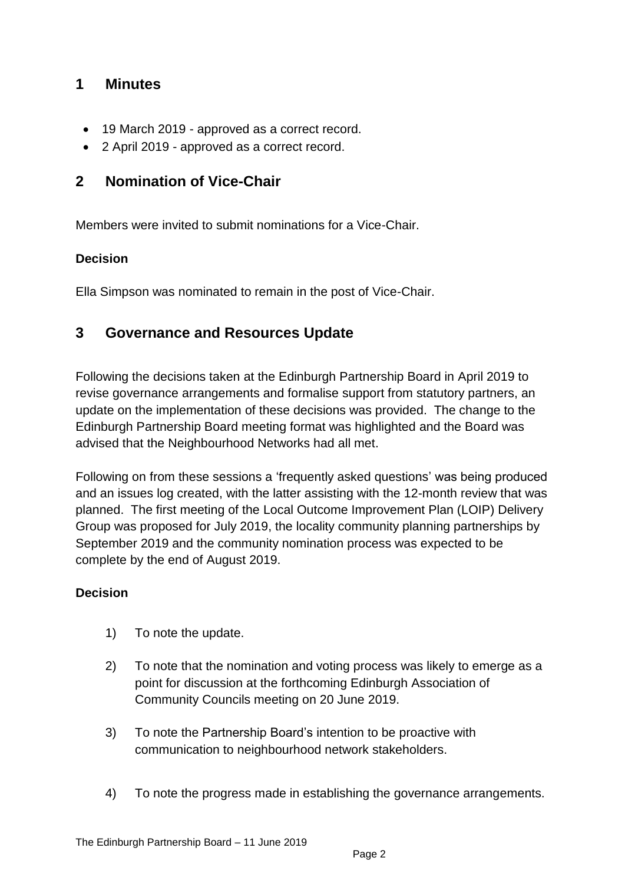## **1 Minutes**

- 19 March 2019 approved as a correct record.
- 2 April 2019 approved as a correct record.

## **2 Nomination of Vice-Chair**

Members were invited to submit nominations for a Vice-Chair.

### **Decision**

Ella Simpson was nominated to remain in the post of Vice-Chair.

## **3 Governance and Resources Update**

Following the decisions taken at the Edinburgh Partnership Board in April 2019 to revise governance arrangements and formalise support from statutory partners, an update on the implementation of these decisions was provided. The change to the Edinburgh Partnership Board meeting format was highlighted and the Board was advised that the Neighbourhood Networks had all met.

Following on from these sessions a 'frequently asked questions' was being produced and an issues log created, with the latter assisting with the 12-month review that was planned. The first meeting of the Local Outcome Improvement Plan (LOIP) Delivery Group was proposed for July 2019, the locality community planning partnerships by September 2019 and the community nomination process was expected to be complete by the end of August 2019.

#### **Decision**

- 1) To note the update.
- 2) To note that the nomination and voting process was likely to emerge as a point for discussion at the forthcoming Edinburgh Association of Community Councils meeting on 20 June 2019.
- 3) To note the Partnership Board's intention to be proactive with communication to neighbourhood network stakeholders.
- 4) To note the progress made in establishing the governance arrangements.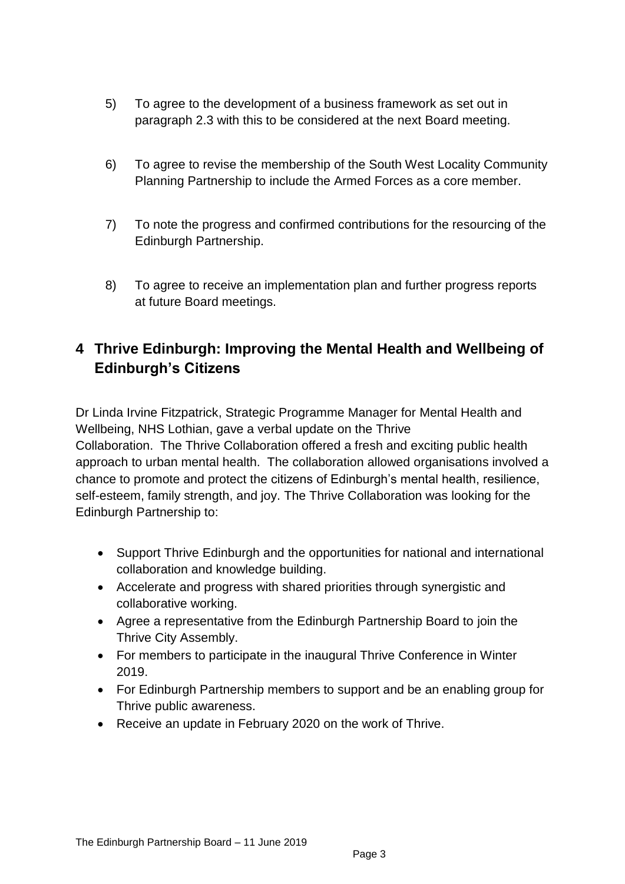- 5) To agree to the development of a business framework as set out in paragraph 2.3 with this to be considered at the next Board meeting.
- 6) To agree to revise the membership of the South West Locality Community Planning Partnership to include the Armed Forces as a core member.
- 7) To note the progress and confirmed contributions for the resourcing of the Edinburgh Partnership.
- 8) To agree to receive an implementation plan and further progress reports at future Board meetings.

# **4 Thrive Edinburgh: Improving the Mental Health and Wellbeing of Edinburgh's Citizens**

Dr Linda Irvine Fitzpatrick, Strategic Programme Manager for Mental Health and Wellbeing, NHS Lothian, gave a verbal update on the Thrive Collaboration. The Thrive Collaboration offered a fresh and exciting public health approach to urban mental health. The collaboration allowed organisations involved a chance to promote and protect the citizens of Edinburgh's mental health, resilience, self-esteem, family strength, and joy. The Thrive Collaboration was looking for the Edinburgh Partnership to:

- Support Thrive Edinburgh and the opportunities for national and international collaboration and knowledge building.
- Accelerate and progress with shared priorities through synergistic and collaborative working.
- Agree a representative from the Edinburgh Partnership Board to join the Thrive City Assembly.
- For members to participate in the inaugural Thrive Conference in Winter 2019.
- For Edinburgh Partnership members to support and be an enabling group for Thrive public awareness.
- Receive an update in February 2020 on the work of Thrive.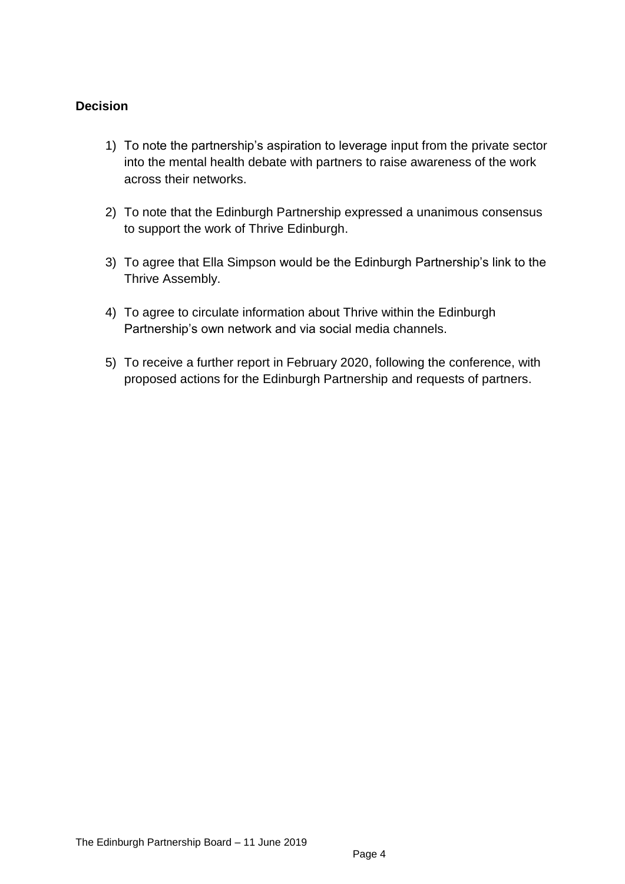#### **Decision**

- 1) To note the partnership's aspiration to leverage input from the private sector into the mental health debate with partners to raise awareness of the work across their networks.
- 2) To note that the Edinburgh Partnership expressed a unanimous consensus to support the work of Thrive Edinburgh.
- 3) To agree that Ella Simpson would be the Edinburgh Partnership's link to the Thrive Assembly.
- 4) To agree to circulate information about Thrive within the Edinburgh Partnership's own network and via social media channels.
- 5) To receive a further report in February 2020, following the conference, with proposed actions for the Edinburgh Partnership and requests of partners.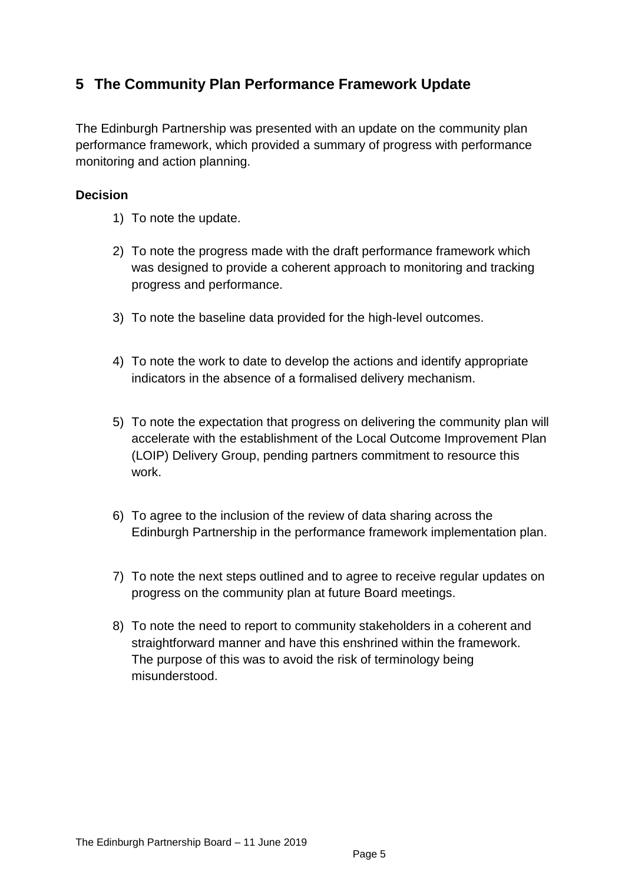# **5 The Community Plan Performance Framework Update**

The Edinburgh Partnership was presented with an update on the community plan performance framework, which provided a summary of progress with performance monitoring and action planning.

#### **Decision**

- 1) To note the update.
- 2) To note the progress made with the draft performance framework which was designed to provide a coherent approach to monitoring and tracking progress and performance.
- 3) To note the baseline data provided for the high-level outcomes.
- 4) To note the work to date to develop the actions and identify appropriate indicators in the absence of a formalised delivery mechanism.
- 5) To note the expectation that progress on delivering the community plan will accelerate with the establishment of the Local Outcome Improvement Plan (LOIP) Delivery Group, pending partners commitment to resource this work.
- 6) To agree to the inclusion of the review of data sharing across the Edinburgh Partnership in the performance framework implementation plan.
- 7) To note the next steps outlined and to agree to receive regular updates on progress on the community plan at future Board meetings.
- 8) To note the need to report to community stakeholders in a coherent and straightforward manner and have this enshrined within the framework. The purpose of this was to avoid the risk of terminology being misunderstood.